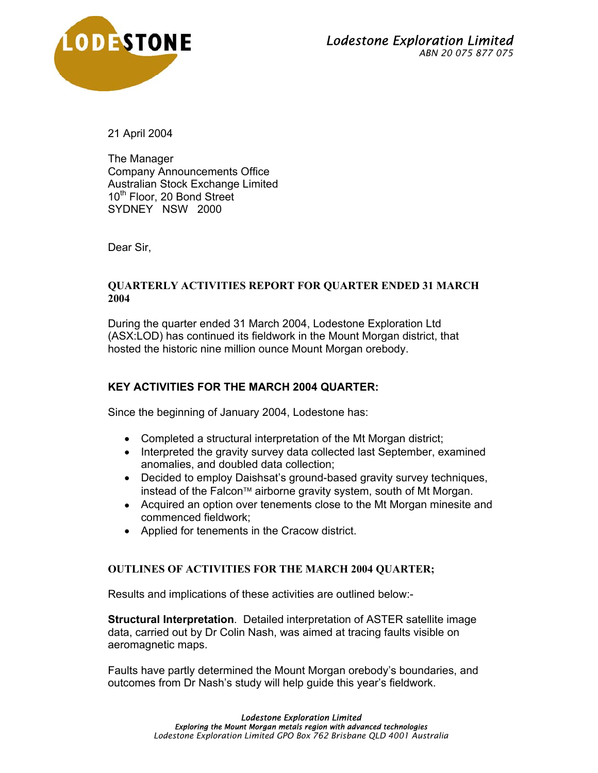

21 April 2004

The Manager Company Announcements Office Australian Stock Exchange Limited 10<sup>th</sup> Floor, 20 Bond Street SYDNEY NSW 2000

Dear Sir,

## **QUARTERLY ACTIVITIES REPORT FOR QUARTER ENDED 31 MARCH 2004**

During the quarter ended 31 March 2004, Lodestone Exploration Ltd (ASX:LOD) has continued its fieldwork in the Mount Morgan district, that hosted the historic nine million ounce Mount Morgan orebody.

## **KEY ACTIVITIES FOR THE MARCH 2004 QUARTER:**

Since the beginning of January 2004, Lodestone has:

- Completed a structural interpretation of the Mt Morgan district;
- Interpreted the gravity survey data collected last September, examined anomalies, and doubled data collection;
- Decided to employ Daishsat's ground-based gravity survey techniques, instead of the Falcon<sup> $M$ </sup> airborne gravity system, south of Mt Morgan.
- Acquired an option over tenements close to the Mt Morgan minesite and commenced fieldwork;
- Applied for tenements in the Cracow district.

## **OUTLINES OF ACTIVITIES FOR THE MARCH 2004 QUARTER;**

Results and implications of these activities are outlined below:-

**Structural Interpretation**. Detailed interpretation of ASTER satellite image data, carried out by Dr Colin Nash, was aimed at tracing faults visible on aeromagnetic maps.

Faults have partly determined the Mount Morgan orebody's boundaries, and outcomes from Dr Nash's study will help guide this year's fieldwork.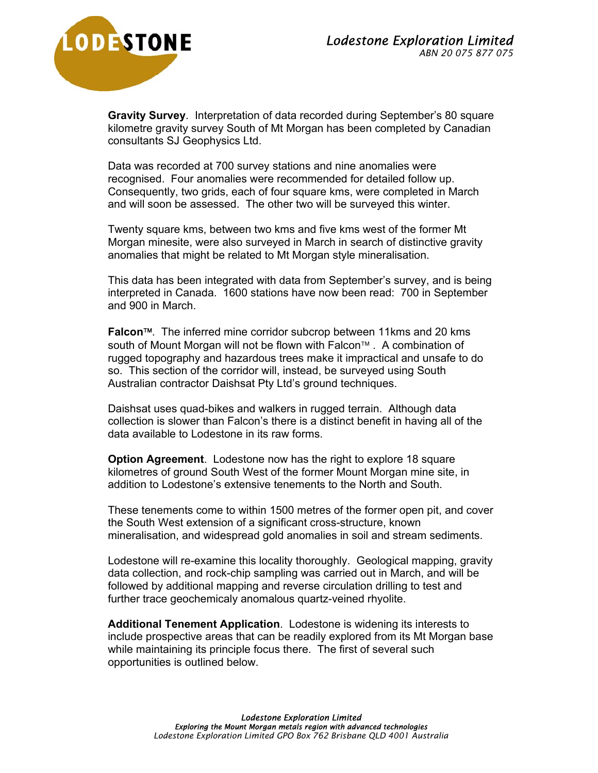

**Gravity Survey**. Interpretation of data recorded during September's 80 square kilometre gravity survey South of Mt Morgan has been completed by Canadian consultants SJ Geophysics Ltd.

Data was recorded at 700 survey stations and nine anomalies were recognised. Four anomalies were recommended for detailed follow up. Consequently, two grids, each of four square kms, were completed in March and will soon be assessed. The other two will be surveyed this winter.

Twenty square kms, between two kms and five kms west of the former Mt Morgan minesite, were also surveyed in March in search of distinctive gravity anomalies that might be related to Mt Morgan style mineralisation.

This data has been integrated with data from September's survey, and is being interpreted in Canada. 1600 stations have now been read: 700 in September and 900 in March.

**Falcon**. The inferred mine corridor subcrop between 11kms and 20 kms south of Mount Morgan will not be flown with Falcon™ . A combination of rugged topography and hazardous trees make it impractical and unsafe to do so. This section of the corridor will, instead, be surveyed using South Australian contractor Daishsat Pty Ltd's ground techniques.

Daishsat uses quad-bikes and walkers in rugged terrain. Although data collection is slower than Falcon's there is a distinct benefit in having all of the data available to Lodestone in its raw forms.

**Option Agreement**. Lodestone now has the right to explore 18 square kilometres of ground South West of the former Mount Morgan mine site, in addition to Lodestone's extensive tenements to the North and South.

These tenements come to within 1500 metres of the former open pit, and cover the South West extension of a significant cross-structure, known mineralisation, and widespread gold anomalies in soil and stream sediments.

Lodestone will re-examine this locality thoroughly. Geological mapping, gravity data collection, and rock-chip sampling was carried out in March, and will be followed by additional mapping and reverse circulation drilling to test and further trace geochemicaly anomalous quartz-veined rhyolite.

**Additional Tenement Application**. Lodestone is widening its interests to include prospective areas that can be readily explored from its Mt Morgan base while maintaining its principle focus there. The first of several such opportunities is outlined below.